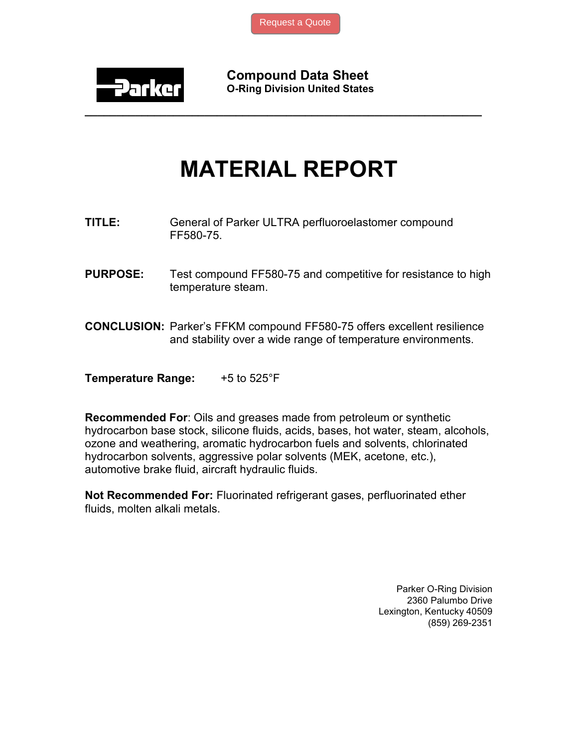

Compound Data Sheet O-Ring Division United States

## MATERIAL REPORT

\_\_\_\_\_\_\_\_\_\_\_\_\_\_\_\_\_\_\_\_\_\_\_\_\_\_\_\_\_\_\_\_\_\_\_\_\_\_\_\_\_\_\_\_\_\_\_\_\_\_\_\_\_\_\_\_\_\_\_\_\_\_\_

- TITLE: General of Parker ULTRA perfluoroelastomer compound FF580-75.
- **PURPOSE:** Test compound FF580-75 and competitive for resistance to high temperature steam.
- CONCLUSION: Parker's FFKM compound FF580-75 offers excellent resilience and stability over a wide range of temperature environments.

**Temperature Range:**  $+5$  to  $525^{\circ}F$ 

Recommended For: Oils and greases made from petroleum or synthetic hydrocarbon base stock, silicone fluids, acids, bases, hot water, steam, alcohols, ozone and weathering, aromatic hydrocarbon fuels and solvents, chlorinated hydrocarbon solvents, aggressive polar solvents (MEK, acetone, etc.), automotive brake fluid, aircraft hydraulic fluids.

Not Recommended For: Fluorinated refrigerant gases, perfluorinated ether fluids, molten alkali metals.

> Parker O-Ring Division 2360 Palumbo Drive Lexington, Kentucky 40509 (859) 269-2351